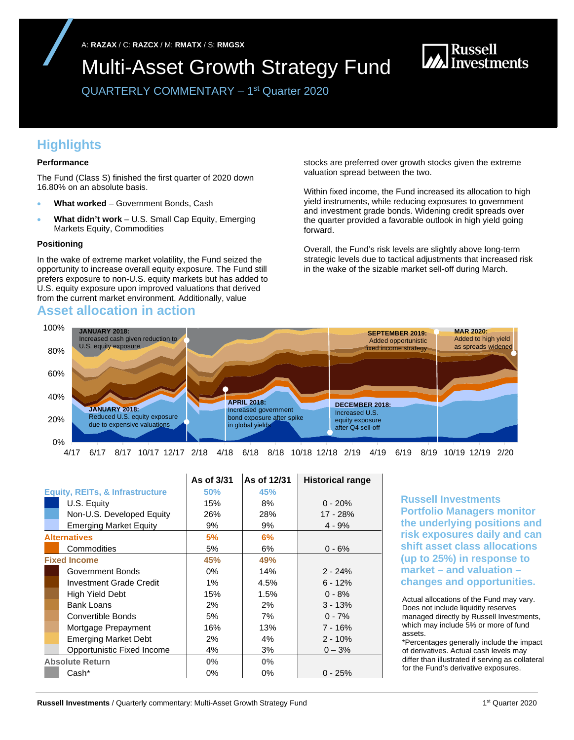A: **RAZAX** / C: **RAZCX** / M: **RMATX** / S: **RMGSX** 

Multi-Asset Growth Strategy Fund

**MA** Russell<br>Ma Investments

QUARTERLY COMMENTARY – 1st Quarter 2020

# **Highlights**

### **Performance**

The Fund (Class S) finished the first quarter of 2020 down 16.80% on an absolute basis.

- **What worked** Government Bonds, Cash
- **What didn't work** U.S. Small Cap Equity, Emerging Markets Equity, Commodities

### **Positioning**

In the wake of extreme market volatility, the Fund seized the opportunity to increase overall equity exposure. The Fund still prefers exposure to non-U.S. equity markets but has added to U.S. equity exposure upon improved valuations that derived from the current market environment. Additionally, value

### **Asset allocation in action**

stocks are preferred over growth stocks given the extreme valuation spread between the two.

Within fixed income, the Fund increased its allocation to high yield instruments, while reducing exposures to government and investment grade bonds. Widening credit spreads over the quarter provided a favorable outlook in high yield going forward.

Overall, the Fund's risk levels are slightly above long-term strategic levels due to tactical adjustments that increased risk in the wake of the sizable market sell-off during March.



4/17 6/17 8/17 10/17 12/17 2/18 4/18 6/18 8/18 10/18 12/18 2/19 4/19 6/19 8/19 10/19 12/19 2/20

|                                            | As of 3/31 | As of 12/31 | <b>Historical range</b> |
|--------------------------------------------|------------|-------------|-------------------------|
| <b>Equity, REITs, &amp; Infrastructure</b> | 50%        | 45%         |                         |
| U.S. Equity                                | 15%        | 8%          | $0 - 20%$               |
| Non-U.S. Developed Equity                  | 26%        | 28%         | 17 - 28%                |
| <b>Emerging Market Equity</b>              | 9%         | 9%          | $4 - 9%$                |
| <b>Alternatives</b>                        | 5%         | 6%          |                         |
| Commodities                                | 5%         | 6%          | $0 - 6%$                |
| <b>Fixed Income</b>                        | 45%        | 49%         |                         |
| Government Bonds                           | $0\%$      | 14%         | $2 - 24%$               |
| <b>Investment Grade Credit</b>             | 1%         | 4.5%        | $6 - 12%$               |
| High Yield Debt                            | 15%        | 1.5%        | $0 - 8%$                |
| <b>Bank Loans</b>                          | $2\%$      | 2%          | $3 - 13%$               |
| Convertible Bonds                          | 5%         | 7%          | $0 - 7%$                |
| Mortgage Prepayment                        | 16%        | 13%         | $7 - 16%$               |
| <b>Emerging Market Debt</b>                | $2\%$      | $4\%$       | $2 - 10%$               |
| Opportunistic Fixed Income                 | 4%         | 3%          | $0 - 3%$                |
| <b>Absolute Return</b>                     | $0\%$      | $0\%$       |                         |
| Cash*                                      | 0%         | 0%          | $0 - 25%$               |

**Russell Investments Portfolio Managers monitor the underlying positions and risk exposures daily and can shift asset class allocations (up to 25%) in response to market – and valuation – changes and opportunities.**

Actual allocations of the Fund may vary. Does not include liquidity reserves managed directly by Russell Investments, which may include 5% or more of fund assets.

\*Percentages generally include the impact of derivatives. Actual cash levels may differ than illustrated if serving as collateral for the Fund's derivative exposures.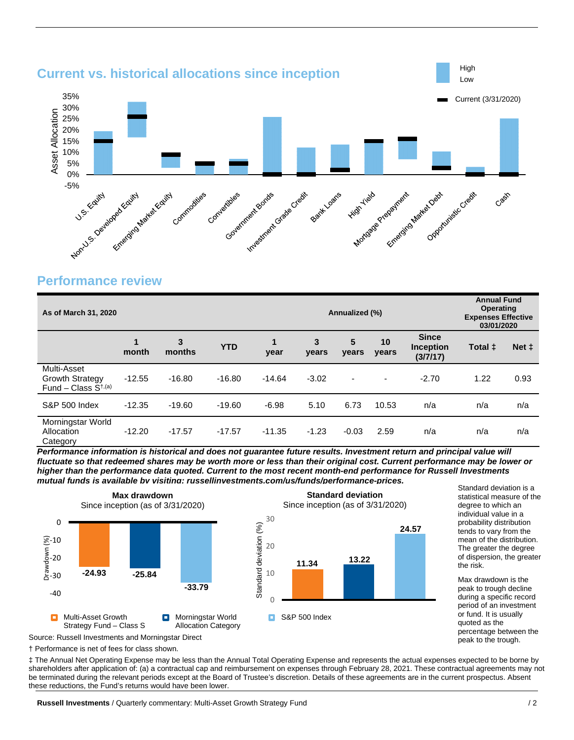

## **Performance review**

| As of March 31, 2020                                                    |            |             |            | Annualized (%) |            |                          |                          | <b>Annual Fund</b><br><b>Operating</b><br><b>Expenses Effective</b><br>03/01/2020 |         |                |
|-------------------------------------------------------------------------|------------|-------------|------------|----------------|------------|--------------------------|--------------------------|-----------------------------------------------------------------------------------|---------|----------------|
|                                                                         | 1<br>month | 3<br>months | <b>YTD</b> | 1<br>year      | 3<br>years | $5\phantom{1}$<br>years  | 10<br>years              | <b>Since</b><br><b>Inception</b><br>(3/7/17)                                      | Total ± | Net $\ddagger$ |
| Multi-Asset<br><b>Growth Strategy</b><br>Fund – Class $S^{\dagger,(a)}$ | $-12.55$   | $-16.80$    | $-16.80$   | $-14.64$       | $-3.02$    | $\overline{\phantom{a}}$ | $\overline{\phantom{a}}$ | $-2.70$                                                                           | 1.22    | 0.93           |
| <b>S&amp;P 500 Index</b>                                                | $-12.35$   | $-19.60$    | $-19.60$   | $-6.98$        | 5.10       | 6.73                     | 10.53                    | n/a                                                                               | n/a     | n/a            |
| Morningstar World<br>Allocation<br>Category                             | $-12.20$   | $-17.57$    | $-17.57$   | $-11.35$       | $-1.23$    | $-0.03$                  | 2.59                     | n/a                                                                               | n/a     | n/a            |

*Performance information is historical and does not guarantee future results. Investment return and principal value will fluctuate so that redeemed shares may be worth more or less than their original cost. Current performance may be lower or higher than the performance data quoted. Current to the most recent month-end performance for Russell Investments mutual funds is available by visiting: russellinvestments.com/us/funds/performance-prices.* 



Standard deviation is a statistical measure of the degree to which an individual value in a probability distribution tends to vary from the mean of the distribution. The greater the degree of dispersion, the greater the risk.

Max drawdown is the peak to trough decline during a specific record period of an investment or fund. It is usually quoted as the percentage between the peak to the trough.

Source: Russell Investments and Morningstar Direct

† Performance is net of fees for class shown.

‡ The Annual Net Operating Expense may be less than the Annual Total Operating Expense and represents the actual expenses expected to be borne by shareholders after application of: (a) a contractual cap and reimbursement on expenses through February 28, 2021. These contractual agreements may not be terminated during the relevant periods except at the Board of Trustee's discretion. Details of these agreements are in the current prospectus. Absent these reductions, the Fund's returns would have been lower.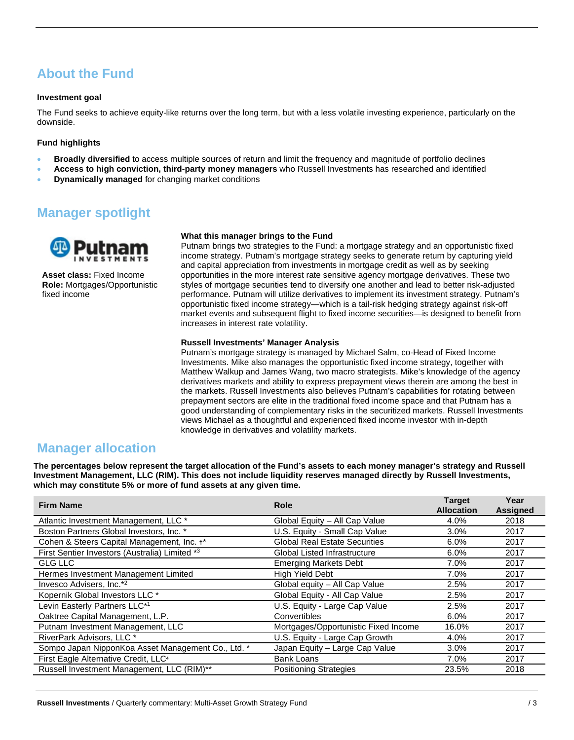# **About the Fund**

### **Investment goal**

The Fund seeks to achieve equity-like returns over the long term, but with a less volatile investing experience, particularly on the downside.

### **Fund highlights**

- **Broadly diversified** to access multiple sources of return and limit the frequency and magnitude of portfolio declines
- **Access to high conviction, third-party money managers** who Russell Investments has researched and identified
- **Dynamically managed** for changing market conditions

# **Manager spotlight**



**Asset class:** Fixed Income **Role:** Mortgages/Opportunistic fixed income

#### **What this manager brings to the Fund**

Putnam brings two strategies to the Fund: a mortgage strategy and an opportunistic fixed income strategy. Putnam's mortgage strategy seeks to generate return by capturing yield and capital appreciation from investments in mortgage credit as well as by seeking opportunities in the more interest rate sensitive agency mortgage derivatives. These two styles of mortgage securities tend to diversify one another and lead to better risk-adjusted performance. Putnam will utilize derivatives to implement its investment strategy. Putnam's opportunistic fixed income strategy—which is a tail-risk hedging strategy against risk-off market events and subsequent flight to fixed income securities—is designed to benefit from increases in interest rate volatility.

### **Russell Investments' Manager Analysis**

Putnam's mortgage strategy is managed by Michael Salm, co-Head of Fixed Income Investments. Mike also manages the opportunistic fixed income strategy, together with Matthew Walkup and James Wang, two macro strategists. Mike's knowledge of the agency derivatives markets and ability to express prepayment views therein are among the best in the markets. Russell Investments also believes Putnam's capabilities for rotating between prepayment sectors are elite in the traditional fixed income space and that Putnam has a good understanding of complementary risks in the securitized markets. Russell Investments views Michael as a thoughtful and experienced fixed income investor with in-depth knowledge in derivatives and volatility markets.

### **Manager allocation**

**The percentages below represent the target allocation of the Fund's assets to each money manager's strategy and Russell Investment Management, LLC (RIM). This does not include liquidity reserves managed directly by Russell Investments, which may constitute 5% or more of fund assets at any given time.**

| <b>Firm Name</b>                                   | <b>Role</b>                          | <b>Target</b><br><b>Allocation</b> | Year<br><b>Assigned</b> |
|----------------------------------------------------|--------------------------------------|------------------------------------|-------------------------|
| Atlantic Investment Management, LLC *              | Global Equity - All Cap Value        | 4.0%                               | 2018                    |
| Boston Partners Global Investors, Inc. *           | U.S. Equity - Small Cap Value        | 3.0%                               | 2017                    |
| Cohen & Steers Capital Management, Inc. +*         | <b>Global Real Estate Securities</b> | 6.0%                               | 2017                    |
| First Sentier Investors (Australia) Limited *3     | <b>Global Listed Infrastructure</b>  | 6.0%                               | 2017                    |
| <b>GLG LLC</b>                                     | <b>Emerging Markets Debt</b>         | 7.0%                               | 2017                    |
| Hermes Investment Management Limited               | High Yield Debt                      | 7.0%                               | 2017                    |
| Invesco Advisers, Inc.* <sup>2</sup>               | Global equity - All Cap Value        | 2.5%                               | 2017                    |
| Kopernik Global Investors LLC *                    | Global Equity - All Cap Value        | 2.5%                               | 2017                    |
| Levin Easterly Partners LLC*1                      | U.S. Equity - Large Cap Value        | 2.5%                               | 2017                    |
| Oaktree Capital Management, L.P.                   | Convertibles                         | 6.0%                               | 2017                    |
| Putnam Investment Management, LLC                  | Mortgages/Opportunistic Fixed Income | 16.0%                              | 2017                    |
| RiverPark Advisors, LLC *                          | U.S. Equity - Large Cap Growth       | 4.0%                               | 2017                    |
| Sompo Japan NipponKoa Asset Management Co., Ltd. * | Japan Equity - Large Cap Value       | 3.0%                               | 2017                    |
| First Eagle Alternative Credit, LLC <sup>4</sup>   | <b>Bank Loans</b>                    | 7.0%                               | 2017                    |
| Russell Investment Management, LLC (RIM)**         | <b>Positioning Strategies</b>        | 23.5%                              | 2018                    |